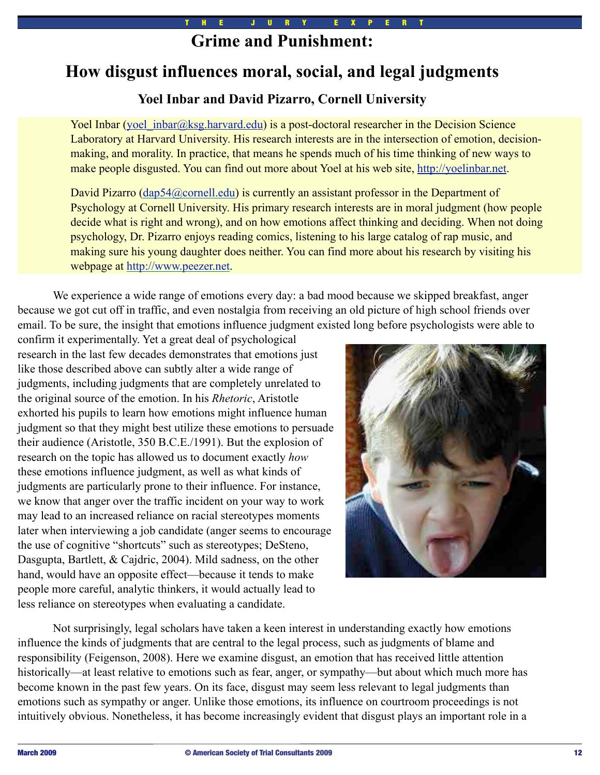# **Grime and Punishment:**

# **How disgust influences moral, social, and legal judgments**

# **Yoel Inbar and David Pizarro, Cornell University**

Yoel Inbar (yoel  $\int$ inbar $\omega$ ksg.harvard.edu) is a post-doctoral researcher in the Decision Science Laboratory at Harvard University. His research interests are in the intersection of emotion, decisionmaking, and morality. In practice, that means he spends much of his time thinking of new ways to make people disgusted. You can find out more about Yoel at his web site, [http://yoelinbar.net.](http://yoelinbar.net)

David Pizarro [\(dap54@cornell.edu\)](mailto:dap54@cornell.edu) is currently an assistant professor in the Department of Psychology at Cornell University. His primary research interests are in moral judgment (how people decide what is right and wrong), and on how emotions affect thinking and deciding. When not doing psychology, Dr. Pizarro enjoys reading comics, listening to his large catalog of rap music, and making sure his young daughter does neither. You can find more about his research by visiting his webpage at [http://www.peezer.net.](http://www.peezer.net/)

We experience a wide range of emotions every day: a bad mood because we skipped breakfast, anger because we got cut off in traffic, and even nostalgia from receiving an old picture of high school friends over email. To be sure, the insight that emotions influence judgment existed long before psychologists were able to

confirm it experimentally. Yet a great deal of psychological research in the last few decades demonstrates that emotions just like those described above can subtly alter a wide range of judgments, including judgments that are completely unrelated to the original source of the emotion. In his *Rhetoric*, Aristotle exhorted his pupils to learn how emotions might influence human judgment so that they might best utilize these emotions to persuade their audience (Aristotle, 350 B.C.E./1991). But the explosion of research on the topic has allowed us to document exactly *how*  these emotions influence judgment, as well as what kinds of judgments are particularly prone to their influence. For instance, we know that anger over the traffic incident on your way to work may lead to an increased reliance on racial stereotypes moments later when interviewing a job candidate (anger seems to encourage the use of cognitive "shortcuts" such as stereotypes; DeSteno, Dasgupta, Bartlett, & Cajdric, 2004). Mild sadness, on the other hand, would have an opposite effect—because it tends to make people more careful, analytic thinkers, it would actually lead to less reliance on stereotypes when evaluating a candidate.



Not surprisingly, legal scholars have taken a keen interest in understanding exactly how emotions influence the kinds of judgments that are central to the legal process, such as judgments of blame and responsibility (Feigenson, 2008). Here we examine disgust, an emotion that has received little attention historically—at least relative to emotions such as fear, anger, or sympathy—but about which much more has become known in the past few years. On its face, disgust may seem less relevant to legal judgments than emotions such as sympathy or anger. Unlike those emotions, its influence on courtroom proceedings is not intuitively obvious. Nonetheless, it has become increasingly evident that disgust plays an important role in a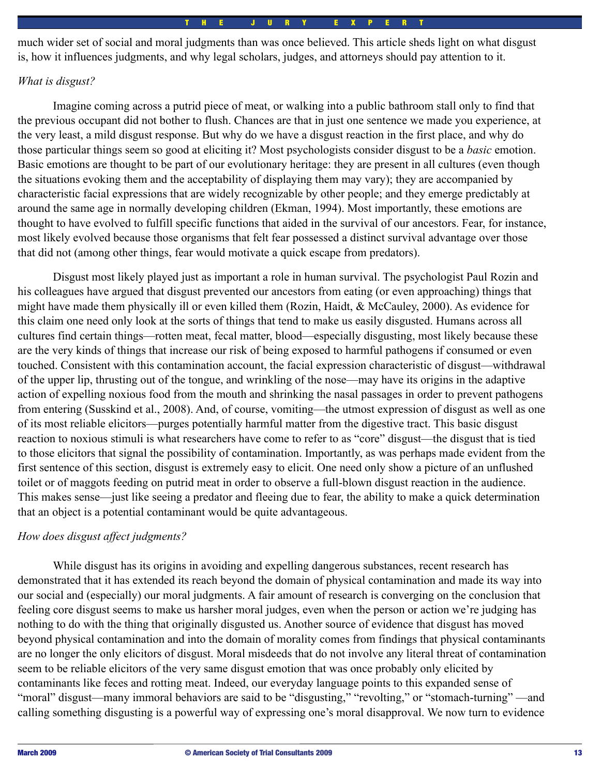much wider set of social and moral judgments than was once believed. This article sheds light on what disgust is, how it influences judgments, and why legal scholars, judges, and attorneys should pay attention to it.

## *What is disgust?*

Imagine coming across a putrid piece of meat, or walking into a public bathroom stall only to find that the previous occupant did not bother to flush. Chances are that in just one sentence we made you experience, at the very least, a mild disgust response. But why do we have a disgust reaction in the first place, and why do those particular things seem so good at eliciting it? Most psychologists consider disgust to be a *basic* emotion. Basic emotions are thought to be part of our evolutionary heritage: they are present in all cultures (even though the situations evoking them and the acceptability of displaying them may vary); they are accompanied by characteristic facial expressions that are widely recognizable by other people; and they emerge predictably at around the same age in normally developing children (Ekman, 1994). Most importantly, these emotions are thought to have evolved to fulfill specific functions that aided in the survival of our ancestors. Fear, for instance, most likely evolved because those organisms that felt fear possessed a distinct survival advantage over those that did not (among other things, fear would motivate a quick escape from predators).

Disgust most likely played just as important a role in human survival. The psychologist Paul Rozin and his colleagues have argued that disgust prevented our ancestors from eating (or even approaching) things that might have made them physically ill or even killed them (Rozin, Haidt, & McCauley, 2000). As evidence for this claim one need only look at the sorts of things that tend to make us easily disgusted. Humans across all cultures find certain things—rotten meat, fecal matter, blood—especially disgusting, most likely because these are the very kinds of things that increase our risk of being exposed to harmful pathogens if consumed or even touched. Consistent with this contamination account, the facial expression characteristic of disgust—withdrawal of the upper lip, thrusting out of the tongue, and wrinkling of the nose—may have its origins in the adaptive action of expelling noxious food from the mouth and shrinking the nasal passages in order to prevent pathogens from entering (Susskind et al., 2008). And, of course, vomiting—the utmost expression of disgust as well as one of its most reliable elicitors—purges potentially harmful matter from the digestive tract. This basic disgust reaction to noxious stimuli is what researchers have come to refer to as "core" disgust—the disgust that is tied to those elicitors that signal the possibility of contamination. Importantly, as was perhaps made evident from the first sentence of this section, disgust is extremely easy to elicit. One need only show a picture of an unflushed toilet or of maggots feeding on putrid meat in order to observe a full-blown disgust reaction in the audience. This makes sense—just like seeing a predator and fleeing due to fear, the ability to make a quick determination that an object is a potential contaminant would be quite advantageous.

### *How does disgust affect judgments?*

While disgust has its origins in avoiding and expelling dangerous substances, recent research has demonstrated that it has extended its reach beyond the domain of physical contamination and made its way into our social and (especially) our moral judgments. A fair amount of research is converging on the conclusion that feeling core disgust seems to make us harsher moral judges, even when the person or action we're judging has nothing to do with the thing that originally disgusted us. Another source of evidence that disgust has moved beyond physical contamination and into the domain of morality comes from findings that physical contaminants are no longer the only elicitors of disgust. Moral misdeeds that do not involve any literal threat of contamination seem to be reliable elicitors of the very same disgust emotion that was once probably only elicited by contaminants like feces and rotting meat. Indeed, our everyday language points to this expanded sense of "moral" disgust—many immoral behaviors are said to be "disgusting," "revolting," or "stomach-turning" —and calling something disgusting is a powerful way of expressing one's moral disapproval. We now turn to evidence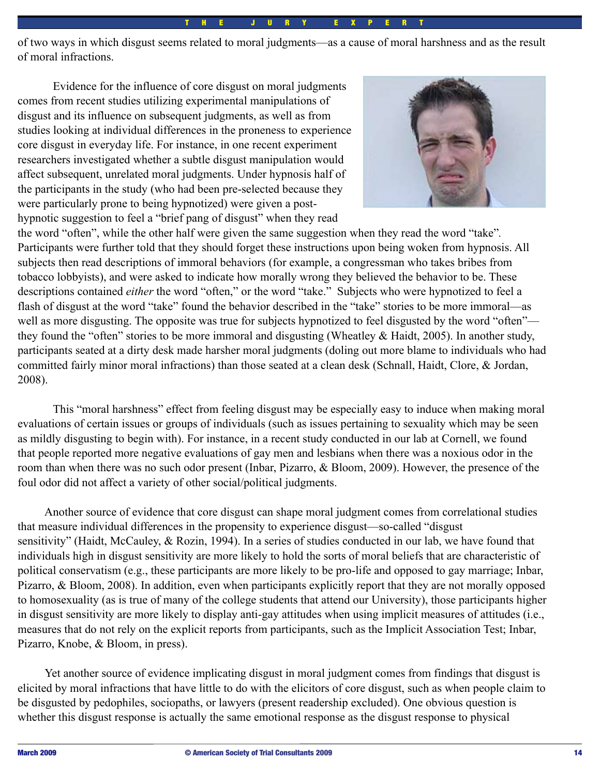#### E J U R Y E

of two ways in which disgust seems related to moral judgments—as a cause of moral harshness and as the result of moral infractions.

Evidence for the influence of core disgust on moral judgments comes from recent studies utilizing experimental manipulations of disgust and its influence on subsequent judgments, as well as from studies looking at individual differences in the proneness to experience core disgust in everyday life. For instance, in one recent experiment researchers investigated whether a subtle disgust manipulation would affect subsequent, unrelated moral judgments. Under hypnosis half of the participants in the study (who had been pre-selected because they were particularly prone to being hypnotized) were given a posthypnotic suggestion to feel a "brief pang of disgust" when they read



the word "often", while the other half were given the same suggestion when they read the word "take"*.*  Participants were further told that they should forget these instructions upon being woken from hypnosis. All subjects then read descriptions of immoral behaviors (for example, a congressman who takes bribes from tobacco lobbyists), and were asked to indicate how morally wrong they believed the behavior to be. These descriptions contained *either* the word "often," or the word "take." Subjects who were hypnotized to feel a flash of disgust at the word "take" found the behavior described in the "take" stories to be more immoral—as well as more disgusting. The opposite was true for subjects hypnotized to feel disgusted by the word "often" they found the "often" stories to be more immoral and disgusting (Wheatley & Haidt, 2005). In another study, participants seated at a dirty desk made harsher moral judgments (doling out more blame to individuals who had committed fairly minor moral infractions) than those seated at a clean desk (Schnall, Haidt, Clore, & Jordan, 2008).

This "moral harshness" effect from feeling disgust may be especially easy to induce when making moral evaluations of certain issues or groups of individuals (such as issues pertaining to sexuality which may be seen as mildly disgusting to begin with). For instance, in a recent study conducted in our lab at Cornell, we found that people reported more negative evaluations of gay men and lesbians when there was a noxious odor in the room than when there was no such odor present (Inbar, Pizarro, & Bloom, 2009). However, the presence of the foul odor did not affect a variety of other social/political judgments.

 Another source of evidence that core disgust can shape moral judgment comes from correlational studies that measure individual differences in the propensity to experience disgust—so-called "disgust sensitivity" (Haidt, McCauley, & Rozin, 1994). In a series of studies conducted in our lab, we have found that individuals high in disgust sensitivity are more likely to hold the sorts of moral beliefs that are characteristic of political conservatism (e.g., these participants are more likely to be pro-life and opposed to gay marriage; Inbar, Pizarro, & Bloom, 2008). In addition, even when participants explicitly report that they are not morally opposed to homosexuality (as is true of many of the college students that attend our University), those participants higher in disgust sensitivity are more likely to display anti-gay attitudes when using implicit measures of attitudes (i.e., measures that do not rely on the explicit reports from participants, such as the Implicit Association Test; Inbar, Pizarro, Knobe, & Bloom, in press).

 Yet another source of evidence implicating disgust in moral judgment comes from findings that disgust is elicited by moral infractions that have little to do with the elicitors of core disgust, such as when people claim to be disgusted by pedophiles, sociopaths, or lawyers (present readership excluded). One obvious question is whether this disgust response is actually the same emotional response as the disgust response to physical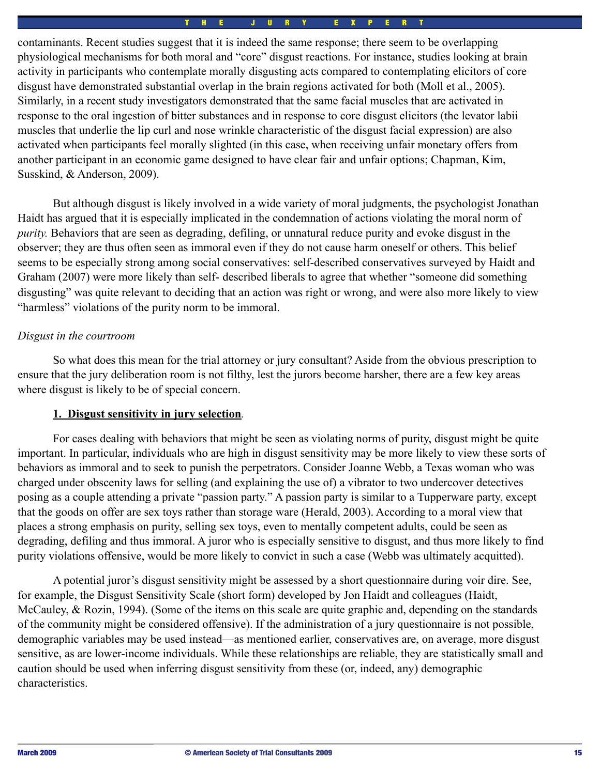#### H E J U R Y E X P E

contaminants. Recent studies suggest that it is indeed the same response; there seem to be overlapping physiological mechanisms for both moral and "core" disgust reactions. For instance, studies looking at brain activity in participants who contemplate morally disgusting acts compared to contemplating elicitors of core disgust have demonstrated substantial overlap in the brain regions activated for both (Moll et al., 2005). Similarly, in a recent study investigators demonstrated that the same facial muscles that are activated in response to the oral ingestion of bitter substances and in response to core disgust elicitors (the levator labii muscles that underlie the lip curl and nose wrinkle characteristic of the disgust facial expression) are also activated when participants feel morally slighted (in this case, when receiving unfair monetary offers from another participant in an economic game designed to have clear fair and unfair options; Chapman, Kim, Susskind, & Anderson, 2009).

But although disgust is likely involved in a wide variety of moral judgments, the psychologist Jonathan Haidt has argued that it is especially implicated in the condemnation of actions violating the moral norm of *purity.* Behaviors that are seen as degrading, defiling, or unnatural reduce purity and evoke disgust in the observer; they are thus often seen as immoral even if they do not cause harm oneself or others. This belief seems to be especially strong among social conservatives: self-described conservatives surveyed by Haidt and Graham (2007) were more likely than self- described liberals to agree that whether "someone did something disgusting" was quite relevant to deciding that an action was right or wrong, and were also more likely to view "harmless" violations of the purity norm to be immoral.

### *Disgust in the courtroom*

So what does this mean for the trial attorney or jury consultant? Aside from the obvious prescription to ensure that the jury deliberation room is not filthy, lest the jurors become harsher, there are a few key areas where disgust is likely to be of special concern.

### **1. Disgust sensitivity in jury selection***.*

For cases dealing with behaviors that might be seen as violating norms of purity, disgust might be quite important. In particular, individuals who are high in disgust sensitivity may be more likely to view these sorts of behaviors as immoral and to seek to punish the perpetrators. Consider Joanne Webb, a Texas woman who was charged under obscenity laws for selling (and explaining the use of) a vibrator to two undercover detectives posing as a couple attending a private "passion party." A passion party is similar to a Tupperware party, except that the goods on offer are sex toys rather than storage ware (Herald, 2003). According to a moral view that places a strong emphasis on purity, selling sex toys, even to mentally competent adults, could be seen as degrading, defiling and thus immoral. A juror who is especially sensitive to disgust, and thus more likely to find purity violations offensive, would be more likely to convict in such a case (Webb was ultimately acquitted).

A potential juror's disgust sensitivity might be assessed by a short questionnaire during voir dire. See, for example, the Disgust Sensitivity Scale (short form) developed by Jon Haidt and colleagues (Haidt, McCauley, & Rozin, 1994). (Some of the items on this scale are quite graphic and, depending on the standards of the community might be considered offensive). If the administration of a jury questionnaire is not possible, demographic variables may be used instead—as mentioned earlier, conservatives are, on average, more disgust sensitive, as are lower-income individuals. While these relationships are reliable, they are statistically small and caution should be used when inferring disgust sensitivity from these (or, indeed, any) demographic characteristics.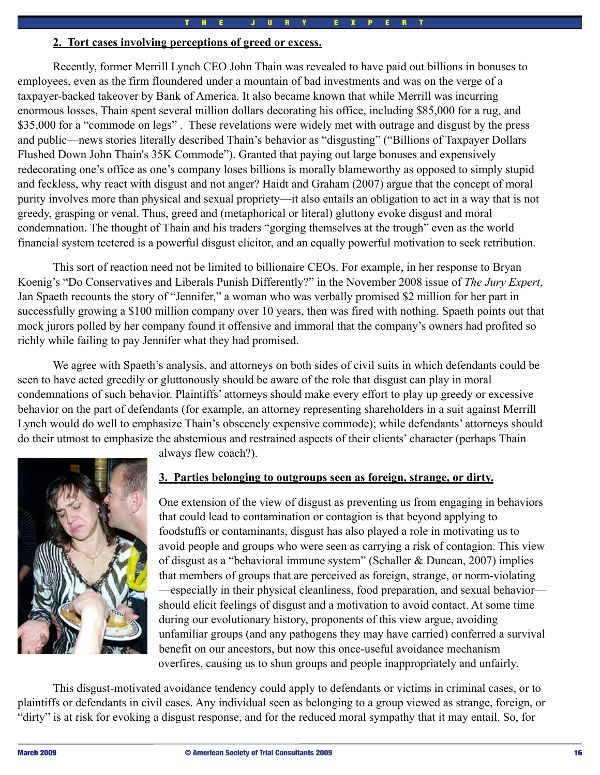### **2. Tort cases involving perceptions of greed or excess.**

Recently, former Merrill Lynch CEO John Thain was revealed to have paid out billions in bonuses to employees, even as the firm floundered under a mountain of bad investments and was on the verge of a taxpayer-backed takeover by Bank of America. It also became known that while Merrill was incurring enormous losses, Thain spent several million dollars decorating his office, including \$85,000 for a rug, and \$35,000 for a "commode on legs". These revelations were widely met with outrage and disgust by the press and public—news stories literally described Thain's behavior as "disgusting" ("Billions of Taxpayer Dollars Flushed Down John Thain's 35K Commode"). Granted that paying out large bonuses and expensively redecorating one's office as one's company loses billions is morally blameworthy as opposed to simply stupid and feckless, why react with disgust and not anger? Haidt and Graham (2007) argue that the concept of moral purity involves more than physical and sexual propriety—it also entails an obligation to act in a way that is not greedy, grasping or venal. Thus, greed and (metaphorical or literal) gluttony evoke disgust and moral condemnation. The thought of Thain and his traders "gorging themselves at the trough" even as the world financial system teetered is a powerful disgust elicitor, and an equally powerful motivation to seek retribution.

This sort of reaction need not be limited to billionaire CEOs. For example, in her response to Bryan Koenig's "Do Conservatives and Liberals Punish Differently?" in the November 2008 issue of *The Jury Expert*, Jan Spaeth recounts the story of "Jennifer," a woman who was verbally promised \$2 million for her part in successfully growing a \$100 million company over 10 years, then was fired with nothing. Spaeth points out that mock jurors polled by her company found it offensive and immoral that the company's owners had profited so richly while failing to pay Jennifer what they had promised.

We agree with Spaeth's analysis, and attorneys on both sides of civil suits in which defendants could be seen to have acted greedily or gluttonously should be aware of the role that disgust can play in moral condemnations of such behavior. Plaintiffs' attorneys should make every effort to play up greedy or excessive behavior on the part of defendants (for example, an attorney representing shareholders in a suit against Merrill Lynch would do well to emphasize Thain's obscenely expensive commode); while defendants' attorneys should do their utmost to emphasize the abstemious and restrained aspects of their clients' character (perhaps Thain



always flew coach?).

### **3. Parties belonging to outgroups seen as foreign, strange, or dirty.**

One extension of the view of disgust as preventing us from engaging in behaviors that could lead to contamination or contagion is that beyond applying to foodstuffs or contaminants, disgust has also played a role in motivating us to avoid people and groups who were seen as carrying a risk of contagion. This view of disgust as a "behavioral immune system" (Schaller & Duncan, 2007) implies that members of groups that are perceived as foreign, strange, or norm-violating —especially in their physical cleanliness, food preparation, and sexual behavior should elicit feelings of disgust and a motivation to avoid contact. At some time during our evolutionary history, proponents of this view argue, avoiding unfamiliar groups (and any pathogens they may have carried) conferred a survival benefit on our ancestors, but now this once-useful avoidance mechanism overfires, causing us to shun groups and people inappropriately and unfairly.

This disgust-motivated avoidance tendency could apply to defendants or victims in criminal cases, or to plaintiffs or defendants in civil cases. Any individual seen as belonging to a group viewed as strange, foreign, or "dirty" is at risk for evoking a disgust response, and for the reduced moral sympathy that it may entail. So, for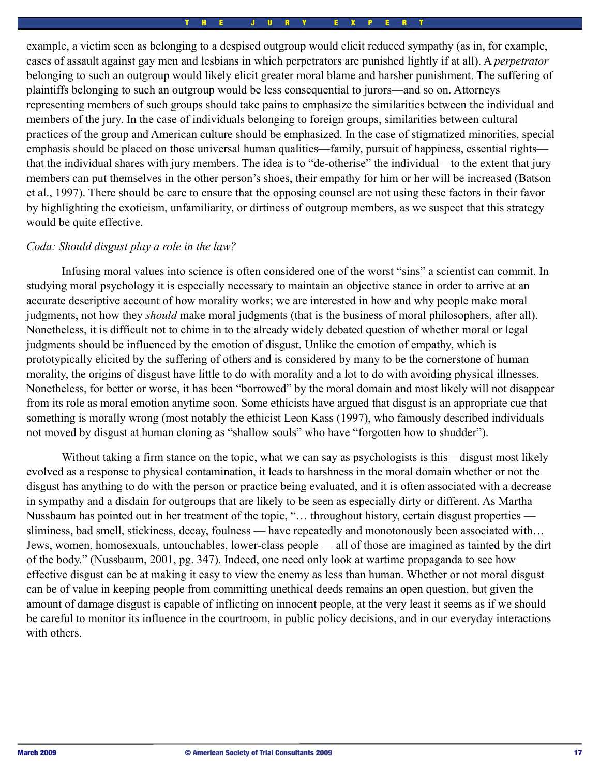example, a victim seen as belonging to a despised outgroup would elicit reduced sympathy (as in, for example, cases of assault against gay men and lesbians in which perpetrators are punished lightly if at all). A *perpetrator*  belonging to such an outgroup would likely elicit greater moral blame and harsher punishment. The suffering of plaintiffs belonging to such an outgroup would be less consequential to jurors—and so on. Attorneys representing members of such groups should take pains to emphasize the similarities between the individual and members of the jury. In the case of individuals belonging to foreign groups, similarities between cultural practices of the group and American culture should be emphasized. In the case of stigmatized minorities, special emphasis should be placed on those universal human qualities—family, pursuit of happiness, essential rights that the individual shares with jury members. The idea is to "de-otherise" the individual—to the extent that jury members can put themselves in the other person's shoes, their empathy for him or her will be increased (Batson et al., 1997). There should be care to ensure that the opposing counsel are not using these factors in their favor by highlighting the exoticism, unfamiliarity, or dirtiness of outgroup members, as we suspect that this strategy would be quite effective.

### *Coda: Should disgust play a role in the law?*

Infusing moral values into science is often considered one of the worst "sins" a scientist can commit. In studying moral psychology it is especially necessary to maintain an objective stance in order to arrive at an accurate descriptive account of how morality works; we are interested in how and why people make moral judgments, not how they *should* make moral judgments (that is the business of moral philosophers, after all). Nonetheless, it is difficult not to chime in to the already widely debated question of whether moral or legal judgments should be influenced by the emotion of disgust. Unlike the emotion of empathy, which is prototypically elicited by the suffering of others and is considered by many to be the cornerstone of human morality, the origins of disgust have little to do with morality and a lot to do with avoiding physical illnesses. Nonetheless, for better or worse, it has been "borrowed" by the moral domain and most likely will not disappear from its role as moral emotion anytime soon. Some ethicists have argued that disgust is an appropriate cue that something is morally wrong (most notably the ethicist Leon Kass (1997), who famously described individuals not moved by disgust at human cloning as "shallow souls" who have "forgotten how to shudder").

Without taking a firm stance on the topic, what we can say as psychologists is this—disgust most likely evolved as a response to physical contamination, it leads to harshness in the moral domain whether or not the disgust has anything to do with the person or practice being evaluated, and it is often associated with a decrease in sympathy and a disdain for outgroups that are likely to be seen as especially dirty or different. As Martha Nussbaum has pointed out in her treatment of the topic, "… throughout history, certain disgust properties sliminess, bad smell, stickiness, decay, foulness — have repeatedly and monotonously been associated with... Jews, women, homosexuals, untouchables, lower-class people — all of those are imagined as tainted by the dirt of the body." (Nussbaum, 2001, pg. 347). Indeed, one need only look at wartime propaganda to see how effective disgust can be at making it easy to view the enemy as less than human. Whether or not moral disgust can be of value in keeping people from committing unethical deeds remains an open question, but given the amount of damage disgust is capable of inflicting on innocent people, at the very least it seems as if we should be careful to monitor its influence in the courtroom, in public policy decisions, and in our everyday interactions with others.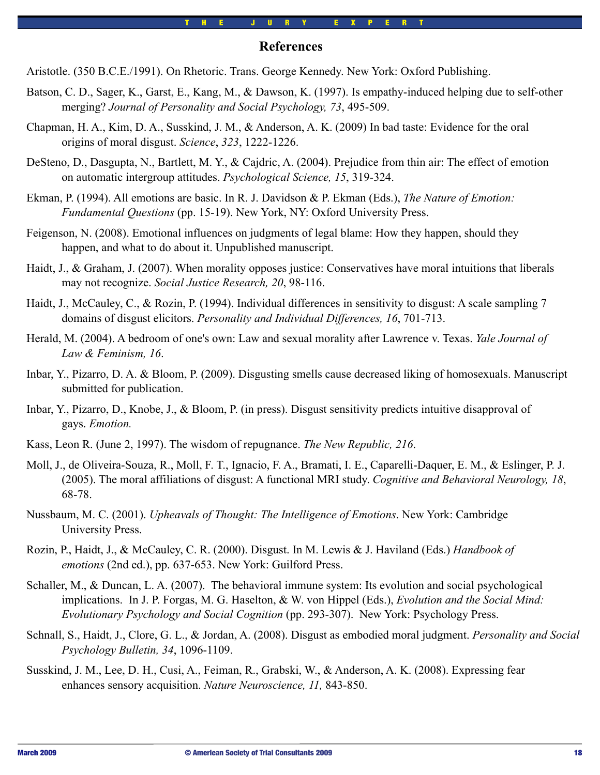### **References**

- Aristotle. (350 B.C.E./1991). On Rhetoric. Trans. George Kennedy. New York: Oxford Publishing.
- Batson, C. D., Sager, K., Garst, E., Kang, M., & Dawson, K. (1997). Is empathy-induced helping due to self-other merging? *Journal of Personality and Social Psychology, 73*, 495-509.
- Chapman, H. A., Kim, D. A., Susskind, J. M., & Anderson, A. K. (2009) In bad taste: Evidence for the oral origins of moral disgust. *Science*, *323*, 1222-1226.
- DeSteno, D., Dasgupta, N., Bartlett, M. Y., & Cajdric, A. (2004). Prejudice from thin air: The effect of emotion on automatic intergroup attitudes. *Psychological Science, 15*, 319-324.
- Ekman, P. (1994). All emotions are basic. In R. J. Davidson & P. Ekman (Eds.), *The Nature of Emotion: Fundamental Questions* (pp. 15-19). New York, NY: Oxford University Press.
- Feigenson, N. (2008). Emotional influences on judgments of legal blame: How they happen, should they happen, and what to do about it. Unpublished manuscript.
- Haidt, J., & Graham, J. (2007). When morality opposes justice: Conservatives have moral intuitions that liberals may not recognize. *Social Justice Research, 20*, 98-116.
- Haidt, J., McCauley, C., & Rozin, P. (1994). Individual differences in sensitivity to disgust: A scale sampling 7 domains of disgust elicitors. *Personality and Individual Differences, 16*, 701-713.
- Herald, M. (2004). A bedroom of one's own: Law and sexual morality after Lawrence v. Texas. *Yale Journal of Law & Feminism, 16*.
- Inbar, Y., Pizarro, D. A. & Bloom, P. (2009). Disgusting smells cause decreased liking of homosexuals. Manuscript submitted for publication.
- Inbar, Y., Pizarro, D., Knobe, J., & Bloom, P. (in press). Disgust sensitivity predicts intuitive disapproval of gays. *Emotion.*
- Kass, Leon R. (June 2, 1997). The wisdom of repugnance. *The New Republic, 216*.
- Moll, J., de Oliveira-Souza, R., Moll, F. T., Ignacio, F. A., Bramati, I. E., Caparelli-Daquer, E. M., & Eslinger, P. J. (2005). The moral affiliations of disgust: A functional MRI study. *Cognitive and Behavioral Neurology, 18*, 68-78.
- Nussbaum, M. C. (2001). *Upheavals of Thought: The Intelligence of Emotions*. New York: Cambridge University Press.
- Rozin, P., Haidt, J., & McCauley, C. R. (2000). Disgust. In M. Lewis & J. Haviland (Eds.) *Handbook of emotions* (2nd ed.), pp. 637-653. New York: Guilford Press.
- Schaller, M., & Duncan, L. A. (2007). The behavioral immune system: Its evolution and social psychological implications. In J. P. Forgas, M. G. Haselton, & W. von Hippel (Eds.), *Evolution and the Social Mind: Evolutionary Psychology and Social Cognition* (pp. 293-307). New York: Psychology Press.
- Schnall, S., Haidt, J., Clore, G. L., & Jordan, A. (2008). Disgust as embodied moral judgment. *Personality and Social Psychology Bulletin, 34*, 1096-1109.
- Susskind, J. M., Lee, D. H., Cusi, A., Feiman, R., Grabski, W., & Anderson, A. K. (2008). Expressing fear enhances sensory acquisition. *Nature Neuroscience, 11,* 843-850.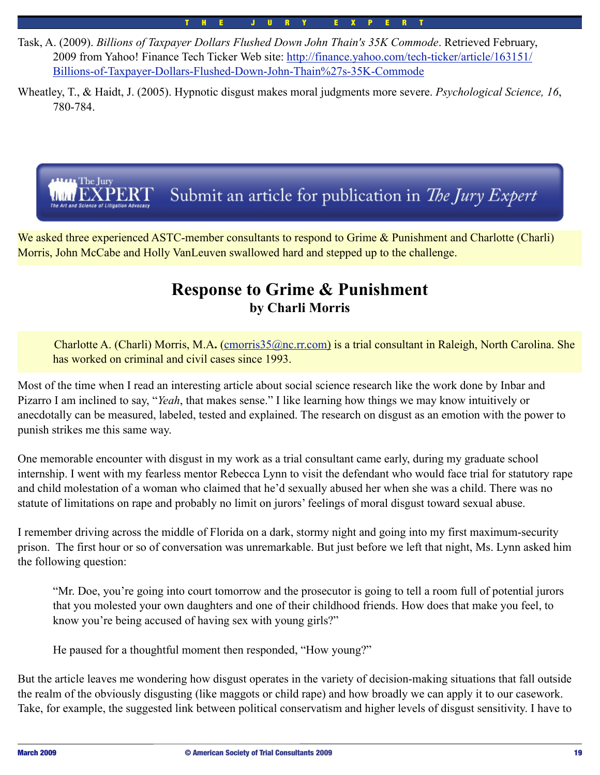Task, A. (2009). *Billions of Taxpayer Dollars Flushed Down John Thain's 35K Commode*. Retrieved February, 2009 from Yahoo! Finance Tech Ticker Web site: [http://finance.yahoo.com/tech-ticker/article/163151/](http://finance.yahoo.com/tech-ticker/article/163151/Billions-of-Taxpayer-Dollars-Flushed-Down-John-Thain%27s-35K-Commode) [Billions-of-Taxpayer-Dollars-Flushed-Down-John-Thain%27s-35K-Commode](http://finance.yahoo.com/tech-ticker/article/163151/Billions-of-Taxpayer-Dollars-Flushed-Down-John-Thain%27s-35K-Commode)

Wheatley, T., & Haidt, J. (2005). Hypnotic disgust makes moral judgments more severe. *Psychological Science, 16*, 780-784.

T H E J U R Y E X P E R T



We asked three experienced ASTC-member consultants to respond to Grime & Punishment and Charlotte (Charli) Morris, John McCabe and Holly VanLeuven swallowed hard and stepped up to the challenge.

# **Response to Grime & Punishment by Charli Morris**

 Charlotte A. (Charli) Morris, M.A**.** [\(cmorris35@nc.rr.com\)](mailto:cmorris35@nc.rr.com) is a trial consultant in Raleigh, North Carolina. She has worked on criminal and civil cases since 1993.

Most of the time when I read an interesting article about social science research like the work done by Inbar and Pizarro I am inclined to say, "*Yeah*, that makes sense." I like learning how things we may know intuitively or anecdotally can be measured, labeled, tested and explained. The research on disgust as an emotion with the power to punish strikes me this same way.

One memorable encounter with disgust in my work as a trial consultant came early, during my graduate school internship. I went with my fearless mentor Rebecca Lynn to visit the defendant who would face trial for statutory rape and child molestation of a woman who claimed that he'd sexually abused her when she was a child. There was no statute of limitations on rape and probably no limit on jurors' feelings of moral disgust toward sexual abuse.

I remember driving across the middle of Florida on a dark, stormy night and going into my first maximum-security prison. The first hour or so of conversation was unremarkable. But just before we left that night, Ms. Lynn asked him the following question:

"Mr. Doe, you're going into court tomorrow and the prosecutor is going to tell a room full of potential jurors that you molested your own daughters and one of their childhood friends. How does that make you feel, to know you're being accused of having sex with young girls?"<br>He paused for a thoughtful moment then responded "How young?"

He paused for a thoughtful moment then responded, "How young?"

But the article leaves me wondering how disgust operates in the variety of decision-making situations that fall outside the realm of the obviously disgusting (like maggots or child rape) and how broadly we can apply it to our casework. Take, for example, the suggested link between political conservatism and higher levels of disgust sensitivity. I have to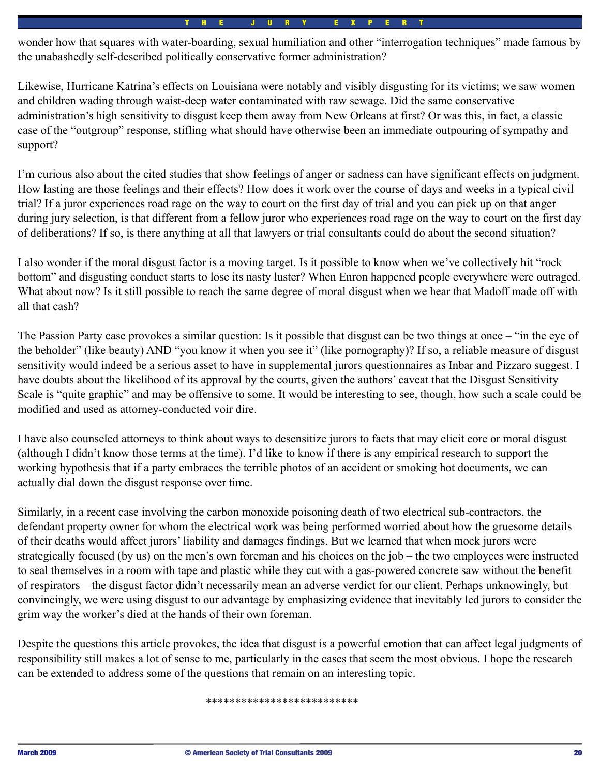wonder how that squares with water-boarding, sexual humiliation and other "interrogation techniques" made famous by the unabashedly self-described politically conservative former administration?

Likewise, Hurricane Katrina's effects on Louisiana were notably and visibly disgusting for its victims; we saw women and children wading through waist-deep water contaminated with raw sewage. Did the same conservative administration's high sensitivity to disgust keep them away from New Orleans at first? Or was this, in fact, a classic case of the "outgroup" response, stifling what should have otherwise been an immediate outpouring of sympathy and support?

I'm curious also about the cited studies that show feelings of anger or sadness can have significant effects on judgment. How lasting are those feelings and their effects? How does it work over the course of days and weeks in a typical civil trial? If a juror experiences road rage on the way to court on the first day of trial and you can pick up on that anger during jury selection, is that different from a fellow juror who experiences road rage on the way to court on the first day of deliberations? If so, is there anything at all that lawyers or trial consultants could do about the second situation?

I also wonder if the moral disgust factor is a moving target. Is it possible to know when we've collectively hit "rock bottom" and disgusting conduct starts to lose its nasty luster? When Enron happened people everywhere were outraged. What about now? Is it still possible to reach the same degree of moral disgust when we hear that Madoff made off with all that cash?

The Passion Party case provokes a similar question: Is it possible that disgust can be two things at once – "in the eye of the beholder" (like beauty) AND "you know it when you see it" (like pornography)? If so, a reliable measure of disgust sensitivity would indeed be a serious asset to have in supplemental jurors questionnaires as Inbar and Pizzaro suggest. I have doubts about the likelihood of its approval by the courts, given the authors' caveat that the Disgust Sensitivity Scale is "quite graphic" and may be offensive to some. It would be interesting to see, though, how such a scale could be modified and used as attorney-conducted voir dire.

I have also counseled attorneys to think about ways to desensitize jurors to facts that may elicit core or moral disgust (although I didn't know those terms at the time). I'd like to know if there is any empirical research to support the working hypothesis that if a party embraces the terrible photos of an accident or smoking hot documents, we can actually dial down the disgust response over time.

Similarly, in a recent case involving the carbon monoxide poisoning death of two electrical sub-contractors, the defendant property owner for whom the electrical work was being performed worried about how the gruesome details of their deaths would affect jurors' liability and damages findings. But we learned that when mock jurors were strategically focused (by us) on the men's own foreman and his choices on the job – the two employees were instructed to seal themselves in a room with tape and plastic while they cut with a gas-powered concrete saw without the benefit of respirators – the disgust factor didn't necessarily mean an adverse verdict for our client. Perhaps unknowingly, but convincingly, we were using disgust to our advantage by emphasizing evidence that inevitably led jurors to consider the grim way the worker's died at the hands of their own foreman.

Despite the questions this article provokes, the idea that disgust is a powerful emotion that can affect legal judgments of responsibility still makes a lot of sense to me, particularly in the cases that seem the most obvious. I hope the research can be extended to address some of the questions that remain on an interesting topic.

#### \*\*\*\*\*\*\*\*\*\*\*\*\*\*\*\*\*\*\*\*\*\*\*\*\*\*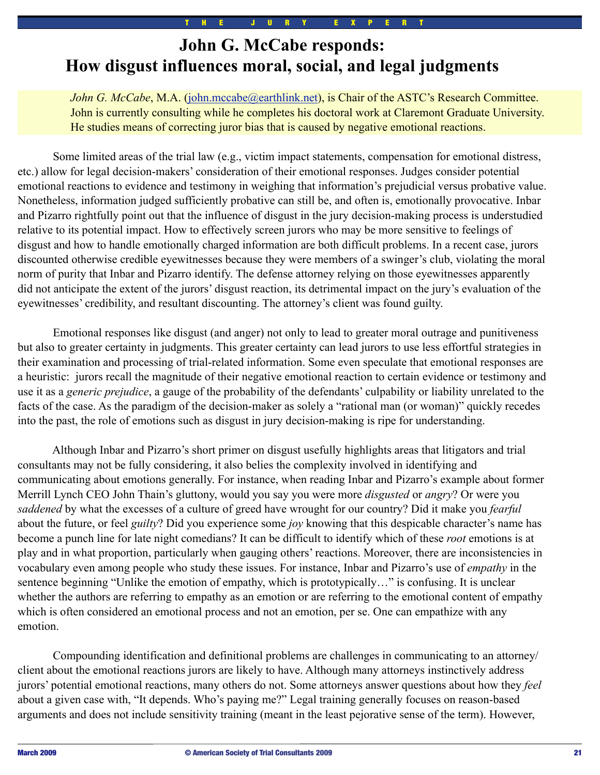# **John G. McCabe responds: How disgust influences moral, social, and legal judgments**

*John G. McCabe*, M.A. [\(john.mccabe@earthlink.net\)](mailto:john.mccabe@earthlink.net), is Chair of the ASTC's Research Committee. John is currently consulting while he completes his doctoral work at Claremont Graduate University. He studies means of correcting juror bias that is caused by negative emotional reactions.

 Some limited areas of the trial law (e.g., victim impact statements, compensation for emotional distress, etc.) allow for legal decision-makers' consideration of their emotional responses. Judges consider potential emotional reactions to evidence and testimony in weighing that information's prejudicial versus probative value. Nonetheless, information judged sufficiently probative can still be, and often is, emotionally provocative. Inbar and Pizarro rightfully point out that the influence of disgust in the jury decision-making process is understudied relative to its potential impact. How to effectively screen jurors who may be more sensitive to feelings of disgust and how to handle emotionally charged information are both difficult problems. In a recent case, jurors discounted otherwise credible eyewitnesses because they were members of a swinger's club, violating the moral norm of purity that Inbar and Pizarro identify. The defense attorney relying on those eyewitnesses apparently did not anticipate the extent of the jurors' disgust reaction, its detrimental impact on the jury's evaluation of the eyewitnesses' credibility, and resultant discounting. The attorney's client was found guilty.

 Emotional responses like disgust (and anger) not only to lead to greater moral outrage and punitiveness but also to greater certainty in judgments. This greater certainty can lead jurors to use less effortful strategies in their examination and processing of trial-related information. Some even speculate that emotional responses are a heuristic: jurors recall the magnitude of their negative emotional reaction to certain evidence or testimony and use it as a *generic prejudice*, a gauge of the probability of the defendants' culpability or liability unrelated to the facts of the case. As the paradigm of the decision-maker as solely a "rational man (or woman)" quickly recedes into the past, the role of emotions such as disgust in jury decision-making is ripe for understanding.

 Although Inbar and Pizarro's short primer on disgust usefully highlights areas that litigators and trial consultants may not be fully considering, it also belies the complexity involved in identifying and communicating about emotions generally. For instance, when reading Inbar and Pizarro's example about former Merrill Lynch CEO John Thain's gluttony, would you say you were more *disgusted* or *angry*? Or were you *saddened* by what the excesses of a culture of greed have wrought for our country? Did it make you *fearful* about the future, or feel *guilty*? Did you experience some *joy* knowing that this despicable character's name has become a punch line for late night comedians? It can be difficult to identify which of these *root* emotions is at play and in what proportion, particularly when gauging others' reactions. Moreover, there are inconsistencies in vocabulary even among people who study these issues. For instance, Inbar and Pizarro's use of *empathy* in the sentence beginning "Unlike the emotion of empathy, which is prototypically..." is confusing. It is unclear whether the authors are referring to empathy as an emotion or are referring to the emotional content of empathy which is often considered an emotional process and not an emotion, per se. One can empathize with any emotion.

 Compounding identification and definitional problems are challenges in communicating to an attorney/ client about the emotional reactions jurors are likely to have. Although many attorneys instinctively address jurors' potential emotional reactions, many others do not. Some attorneys answer questions about how they *feel* about a given case with, "It depends. Who's paying me?" Legal training generally focuses on reason-based arguments and does not include sensitivity training (meant in the least pejorative sense of the term). However,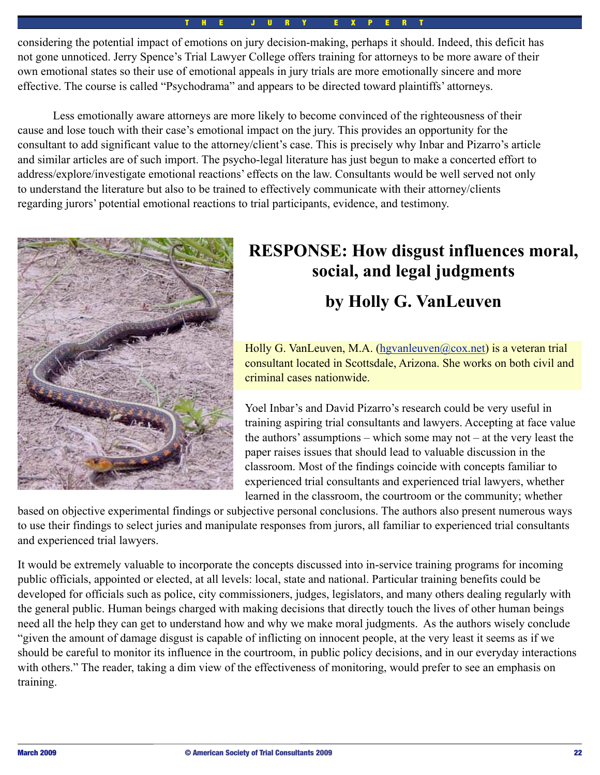considering the potential impact of emotions on jury decision-making, perhaps it should. Indeed, this deficit has not gone unnoticed. Jerry Spence's Trial Lawyer College offers training for attorneys to be more aware of their own emotional states so their use of emotional appeals in jury trials are more emotionally sincere and more effective. The course is called "Psychodrama" and appears to be directed toward plaintiffs' attorneys.

 Less emotionally aware attorneys are more likely to become convinced of the righteousness of their cause and lose touch with their case's emotional impact on the jury. This provides an opportunity for the consultant to add significant value to the attorney/client's case. This is precisely why Inbar and Pizarro's article and similar articles are of such import. The psycho-legal literature has just begun to make a concerted effort to address/explore/investigate emotional reactions' effects on the law. Consultants would be well served not only to understand the literature but also to be trained to effectively communicate with their attorney/clients regarding jurors' potential emotional reactions to trial participants, evidence, and testimony.



# **RESPONSE: How disgust influences moral, social, and legal judgments**

# **by Holly G. VanLeuven**

Holly G. VanLeuven, M.A. [\(hgvanleuven@cox.net\)](mailto:hgvanleuven@cox.net) is a veteran trial consultant located in Scottsdale, Arizona. She works on both civil and criminal cases nationwide.

Yoel Inbar's and David Pizarro's research could be very useful in training aspiring trial consultants and lawyers. Accepting at face value the authors' assumptions – which some may not – at the very least the paper raises issues that should lead to valuable discussion in the classroom. Most of the findings coincide with concepts familiar to experienced trial consultants and experienced trial lawyers, whether learned in the classroom, the courtroom or the community; whether

based on objective experimental findings or subjective personal conclusions. The authors also present numerous ways to use their findings to select juries and manipulate responses from jurors, all familiar to experienced trial consultants and experienced trial lawyers.

It would be extremely valuable to incorporate the concepts discussed into in-service training programs for incoming public officials, appointed or elected, at all levels: local, state and national. Particular training benefits could be developed for officials such as police, city commissioners, judges, legislators, and many others dealing regularly with the general public. Human beings charged with making decisions that directly touch the lives of other human beings need all the help they can get to understand how and why we make moral judgments. As the authors wisely conclude "given the amount of damage disgust is capable of inflicting on innocent people, at the very least it seems as if we should be careful to monitor its influence in the courtroom, in public policy decisions, and in our everyday interactions with others." The reader, taking a dim view of the effectiveness of monitoring, would prefer to see an emphasis on training.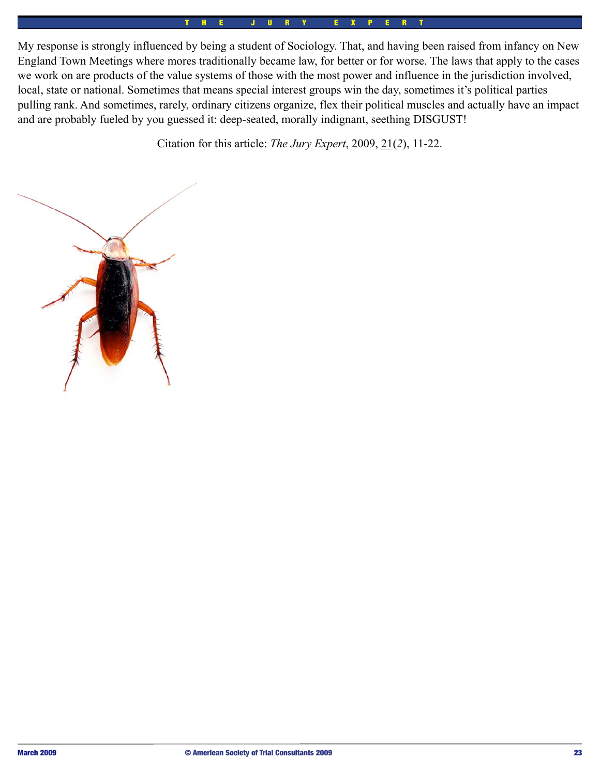My response is strongly influenced by being a student of Sociology. That, and having been raised from infancy on New England Town Meetings where mores traditionally became law, for better or for worse. The laws that apply to the cases we work on are products of the value systems of those with the most power and influence in the jurisdiction involved, local, state or national. Sometimes that means special interest groups win the day, sometimes it's political parties pulling rank. And sometimes, rarely, ordinary citizens organize, flex their political muscles and actually have an impact and are probably fueled by you guessed it: deep-seated, morally indignant, seething DISGUST!

Citation for this article: *The Jury Expert*, 2009, 21(*2*), 11-22.